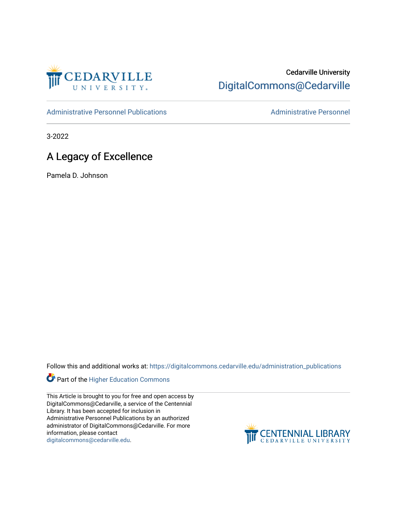

## Cedarville University [DigitalCommons@Cedarville](https://digitalcommons.cedarville.edu/)

[Administrative Personnel Publications](https://digitalcommons.cedarville.edu/administration_publications) **Administrative Personnel** Administrative Personnel

3-2022

## A Legacy of Excellence

Pamela D. Johnson

Follow this and additional works at: [https://digitalcommons.cedarville.edu/administration\\_publications](https://digitalcommons.cedarville.edu/administration_publications?utm_source=digitalcommons.cedarville.edu%2Fadministration_publications%2F258&utm_medium=PDF&utm_campaign=PDFCoverPages) 



This Article is brought to you for free and open access by DigitalCommons@Cedarville, a service of the Centennial Library. It has been accepted for inclusion in Administrative Personnel Publications by an authorized administrator of DigitalCommons@Cedarville. For more information, please contact [digitalcommons@cedarville.edu](mailto:digitalcommons@cedarville.edu).

**CENTENNIAL LIBRARY**